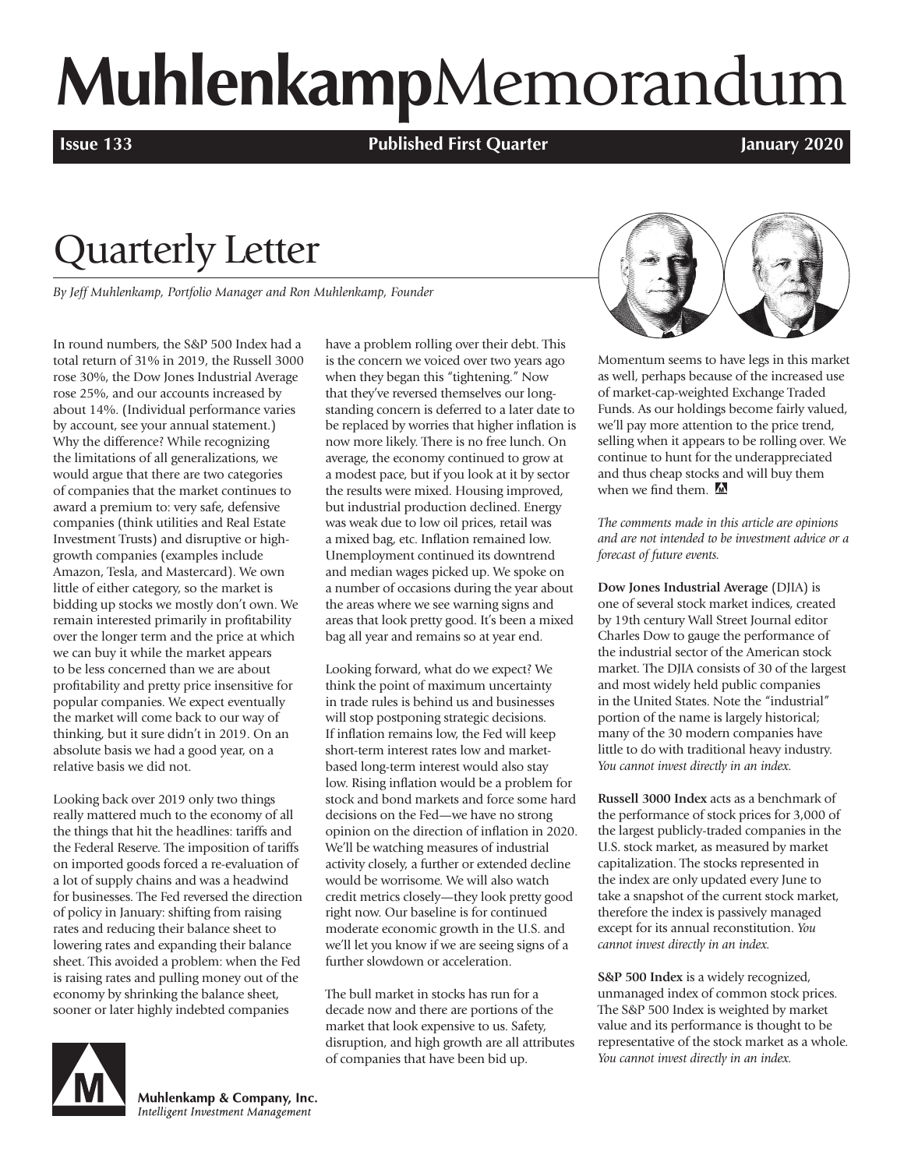# **Muhlenkamp**Memorandum

**Issue 133 Published First Quarter January 2020**

# Quarterly Letter

*By Jeff Muhlenkamp, Portfolio Manager and Ron Muhlenkamp, Founder*

In round numbers, the S&P 500 Index had a total return of 31% in 2019, the Russell 3000 rose 30%, the Dow Jones Industrial Average rose 25%, and our accounts increased by about 14%. (Individual performance varies by account, see your annual statement.) Why the difference? While recognizing the limitations of all generalizations, we would argue that there are two categories of companies that the market continues to award a premium to: very safe, defensive companies (think utilities and Real Estate Investment Trusts) and disruptive or highgrowth companies (examples include Amazon, Tesla, and Mastercard). We own little of either category, so the market is bidding up stocks we mostly don't own. We remain interested primarily in profitability over the longer term and the price at which we can buy it while the market appears to be less concerned than we are about profitability and pretty price insensitive for popular companies. We expect eventually the market will come back to our way of thinking, but it sure didn't in 2019. On an absolute basis we had a good year, on a relative basis we did not.

Looking back over 2019 only two things really mattered much to the economy of all the things that hit the headlines: tariffs and the Federal Reserve. The imposition of tariffs on imported goods forced a re-evaluation of a lot of supply chains and was a headwind for businesses. The Fed reversed the direction of policy in January: shifting from raising rates and reducing their balance sheet to lowering rates and expanding their balance sheet. This avoided a problem: when the Fed is raising rates and pulling money out of the economy by shrinking the balance sheet, sooner or later highly indebted companies

have a problem rolling over their debt. This is the concern we voiced over two years ago when they began this "tightening." Now that they've reversed themselves our longstanding concern is deferred to a later date to be replaced by worries that higher inflation is now more likely. There is no free lunch. On average, the economy continued to grow at a modest pace, but if you look at it by sector the results were mixed. Housing improved, but industrial production declined. Energy was weak due to low oil prices, retail was a mixed bag, etc. Inflation remained low. Unemployment continued its downtrend and median wages picked up. We spoke on a number of occasions during the year about the areas where we see warning signs and areas that look pretty good. It's been a mixed bag all year and remains so at year end.

Looking forward, what do we expect? We think the point of maximum uncertainty in trade rules is behind us and businesses will stop postponing strategic decisions. If inflation remains low, the Fed will keep short-term interest rates low and marketbased long-term interest would also stay low. Rising inflation would be a problem for stock and bond markets and force some hard decisions on the Fed—we have no strong opinion on the direction of inflation in 2020. We'll be watching measures of industrial activity closely, a further or extended decline would be worrisome. We will also watch credit metrics closely—they look pretty good right now. Our baseline is for continued moderate economic growth in the U.S. and we'll let you know if we are seeing signs of a further slowdown or acceleration.

The bull market in stocks has run for a decade now and there are portions of the market that look expensive to us. Safety, disruption, and high growth are all attributes of companies that have been bid up.



Momentum seems to have legs in this market as well, perhaps because of the increased use of market-cap-weighted Exchange Traded Funds. As our holdings become fairly valued, we'll pay more attention to the price trend, selling when it appears to be rolling over. We continue to hunt for the underappreciated and thus cheap stocks and will buy them when we find them.

*The comments made in this article are opinions and are not intended to be investment advice or a forecast of future events.* 

**Dow Jones Industrial Average** (DJIA) is one of several stock market indices, created by 19th century Wall Street Journal editor Charles Dow to gauge the performance of the industrial sector of the American stock market. The DIIA consists of 30 of the largest and most widely held public companies in the United States. Note the "industrial" portion of the name is largely historical; many of the 30 modern companies have little to do with traditional heavy industry. *You cannot invest directly in an index.*

**Russell 3000 Index** acts as a benchmark of the performance of stock prices for 3,000 of the largest publicly-traded companies in the U.S. stock market, as measured by market capitalization. The stocks represented in the index are only updated every June to take a snapshot of the current stock market, therefore the index is passively managed except for its annual reconstitution. *You cannot invest directly in an index.*

**S&P 500 Index** is a widely recognized, unmanaged index of common stock prices. The S&P 500 Index is weighted by market value and its performance is thought to be representative of the stock market as a whole. *You cannot invest directly in an index.*



Muhlenkamp & Company, Inc. Intelligent Investment Management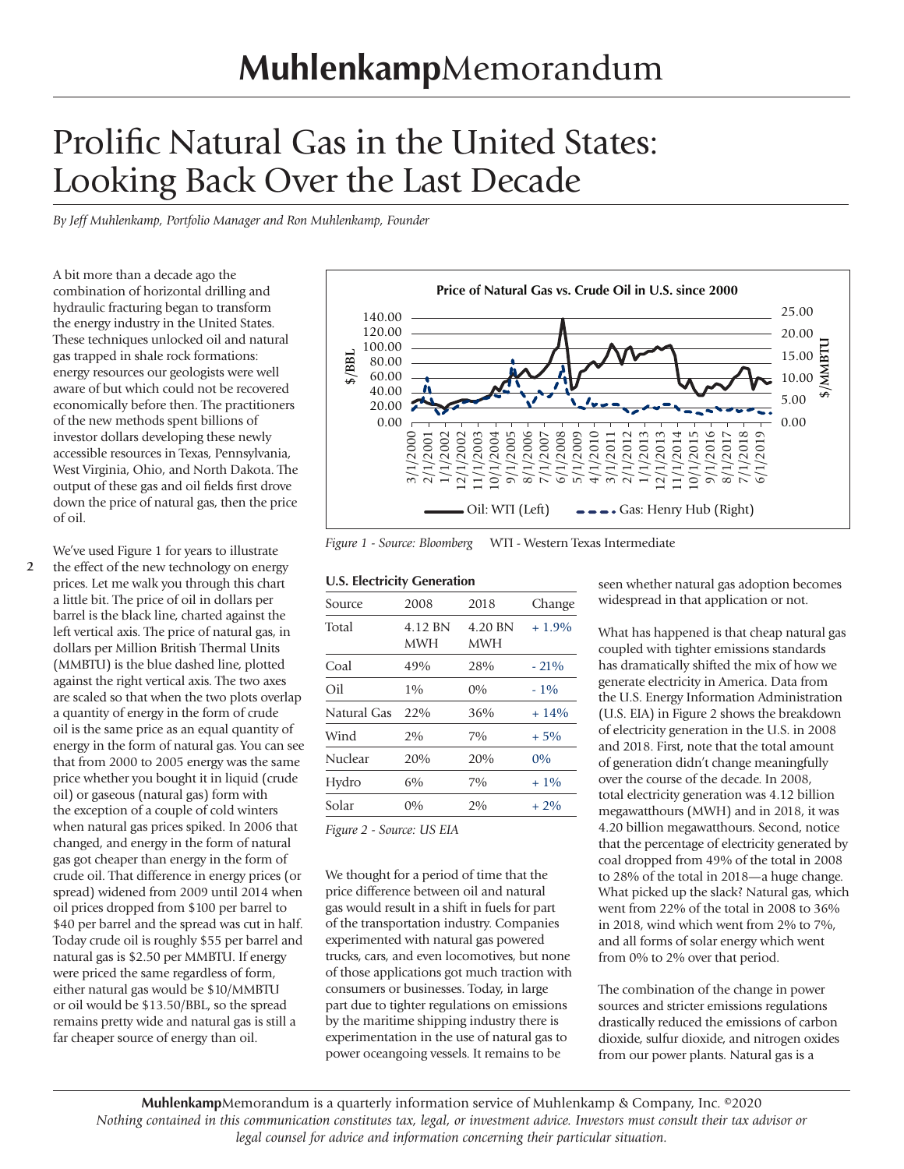# Prolific Natural Gas in the United States: Looking Back Over the Last Decade

*By Jeff Muhlenkamp, Portfolio Manager and Ron Muhlenkamp, Founder*

A bit more than a decade ago the combination of horizontal drilling and hydraulic fracturing began to transform the energy industry in the United States. These techniques unlocked oil and natural gas trapped in shale rock formations: energy resources our geologists were well aware of but which could not be recovered economically before then. The practitioners of the new methods spent billions of investor dollars developing these newly accessible resources in Texas, Pennsylvania, West Virginia, Ohio, and North Dakota. The output of these gas and oil fields first drove down the price of natural gas, then the price of oil.

**2** We've used Figure 1 for years to illustrate the effect of the new technology on energy prices. Let me walk you through this chart a little bit. The price of oil in dollars per barrel is the black line, charted against the left vertical axis. The price of natural gas, in dollars per Million British Thermal Units (MMBTU) is the blue dashed line, plotted against the right vertical axis. The two axes are scaled so that when the two plots overlap a quantity of energy in the form of crude oil is the same price as an equal quantity of energy in the form of natural gas. You can see that from 2000 to 2005 energy was the same price whether you bought it in liquid (crude oil) or gaseous (natural gas) form with the exception of a couple of cold winters when natural gas prices spiked. In 2006 that changed, and energy in the form of natural gas got cheaper than energy in the form of crude oil. That difference in energy prices (or spread) widened from 2009 until 2014 when oil prices dropped from \$100 per barrel to \$40 per barrel and the spread was cut in half. Today crude oil is roughly \$55 per barrel and natural gas is \$2.50 per MMBTU. If energy were priced the same regardless of form, either natural gas would be \$10/MMBTU or oil would be \$13.50/BBL, so the spread remains pretty wide and natural gas is still a far cheaper source of energy than oil.



*Figure 1 - Source: Bloomberg* WTI - Western Texas Intermediate

#### **U.S. Electricity Generation**

| Source      | 2008                  | 2018                  | Change  |
|-------------|-----------------------|-----------------------|---------|
| Total       | 4.12 BN<br><b>MWH</b> | 4.20 BN<br><b>MWH</b> | $+1.9%$ |
| Coal        | 49%                   | 28%                   | $-21\%$ |
| Oil         | 1%                    | $0\%$                 | $-1\%$  |
| Natural Gas | 22%                   | 36%                   | $+14%$  |
| Wind        | 2%                    | 7%                    | $+5%$   |
| Nuclear     | 20%                   | 20%                   | $0\%$   |
| Hydro       | 6%                    | 7%                    | $+1\%$  |
| Solar       | $0\%$                 | 2%                    | $+2\%$  |
|             |                       |                       |         |

*Figure 2 - Source: US EIA*

We thought for a period of time that the price difference between oil and natural gas would result in a shift in fuels for part of the transportation industry. Companies experimented with natural gas powered trucks, cars, and even locomotives, but none of those applications got much traction with consumers or businesses. Today, in large part due to tighter regulations on emissions by the maritime shipping industry there is experimentation in the use of natural gas to power oceangoing vessels. It remains to be

seen whether natural gas adoption becomes widespread in that application or not.

What has happened is that cheap natural gas coupled with tighter emissions standards has dramatically shifted the mix of how we generate electricity in America. Data from the U.S. Energy Information Administration (U.S. EIA) in Figure 2 shows the breakdown of electricity generation in the U.S. in 2008 and 2018. First, note that the total amount of generation didn't change meaningfully over the course of the decade. In 2008, total electricity generation was 4.12 billion megawatthours (MWH) and in 2018, it was 4.20 billion megawatthours. Second, notice that the percentage of electricity generated by coal dropped from 49% of the total in 2008 to 28% of the total in 2018—a huge change. What picked up the slack? Natural gas, which went from 22% of the total in 2008 to 36% in 2018, wind which went from 2% to 7%, and all forms of solar energy which went from 0% to 2% over that period.

The combination of the change in power sources and stricter emissions regulations drastically reduced the emissions of carbon dioxide, sulfur dioxide, and nitrogen oxides from our power plants. Natural gas is a

**Muhlenkamp**Memorandum is a quarterly information service of Muhlenkamp & Company, Inc. ©2020 *Nothing contained in this communication constitutes tax, legal, or investment advice. Investors must consult their tax advisor or legal counsel for advice and information concerning their particular situation.*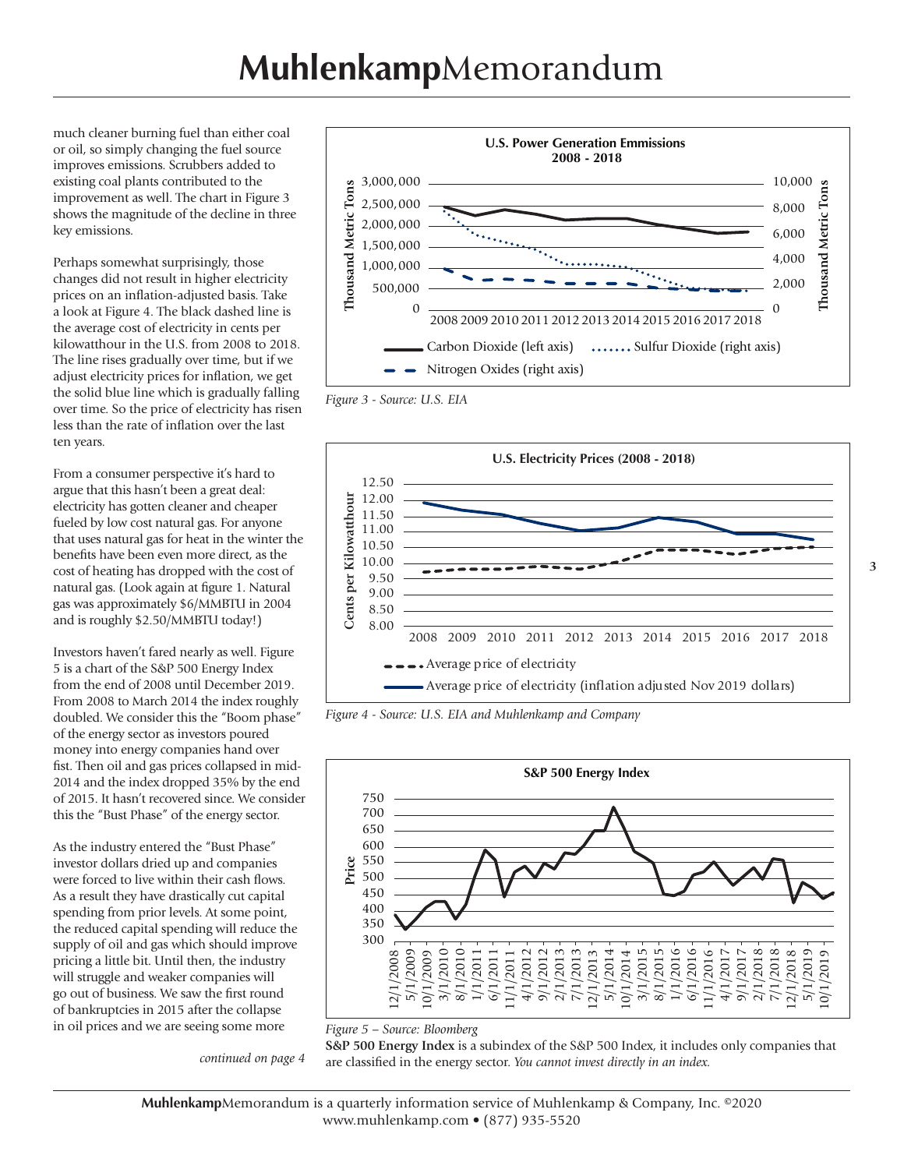much cleaner burning fuel than either coal or oil, so simply changing the fuel source improves emissions. Scrubbers added to existing coal plants contributed to the improvement as well. The chart in Figure 3 shows the magnitude of the decline in three key emissions.

Perhaps somewhat surprisingly, those changes did not result in higher electricity prices on an inflation-adjusted basis. Take a look at Figure 4. The black dashed line is the average cost of electricity in cents per kilowatthour in the U.S. from 2008 to 2018. The line rises gradually over time, but if we adjust electricity prices for inflation, we get the solid blue line which is gradually falling over time. So the price of electricity has risen less than the rate of inflation over the last ten years.

From a consumer perspective it's hard to argue that this hasn't been a great deal: electricity has gotten cleaner and cheaper fueled by low cost natural gas. For anyone that uses natural gas for heat in the winter the benefits have been even more direct, as the cost of heating has dropped with the cost of natural gas. (Look again at figure 1. Natural gas was approximately \$6/MMBTU in 2004 and is roughly \$2.50/MMBTU today!)

Investors haven't fared nearly as well. Figure 5 is a chart of the S&P 500 Energy Index from the end of 2008 until December 2019. From 2008 to March 2014 the index roughly doubled. We consider this the "Boom phase" of the energy sector as investors poured money into energy companies hand over fist. Then oil and gas prices collapsed in mid-2014 and the index dropped 35% by the end of 2015. It hasn't recovered since. We consider this the "Bust Phase" of the energy sector.

As the industry entered the "Bust Phase" investor dollars dried up and companies were forced to live within their cash flows. As a result they have drastically cut capital spending from prior levels. At some point, the reduced capital spending will reduce the supply of oil and gas which should improve pricing a little bit. Until then, the industry will struggle and weaker companies will go out of business. We saw the first round of bankruptcies in 2015 after the collapse in oil prices and we are seeing some more

*continued on page 4*



*Figure 3 - Source: U.S. EIA*



*Figure 4 - Source: U.S. EIA and Muhlenkamp and Company*





**S&P 500 Energy Index** is a subindex of the S&P 500 Index, it includes only companies that are classified in the energy sector. *You cannot invest directly in an index.*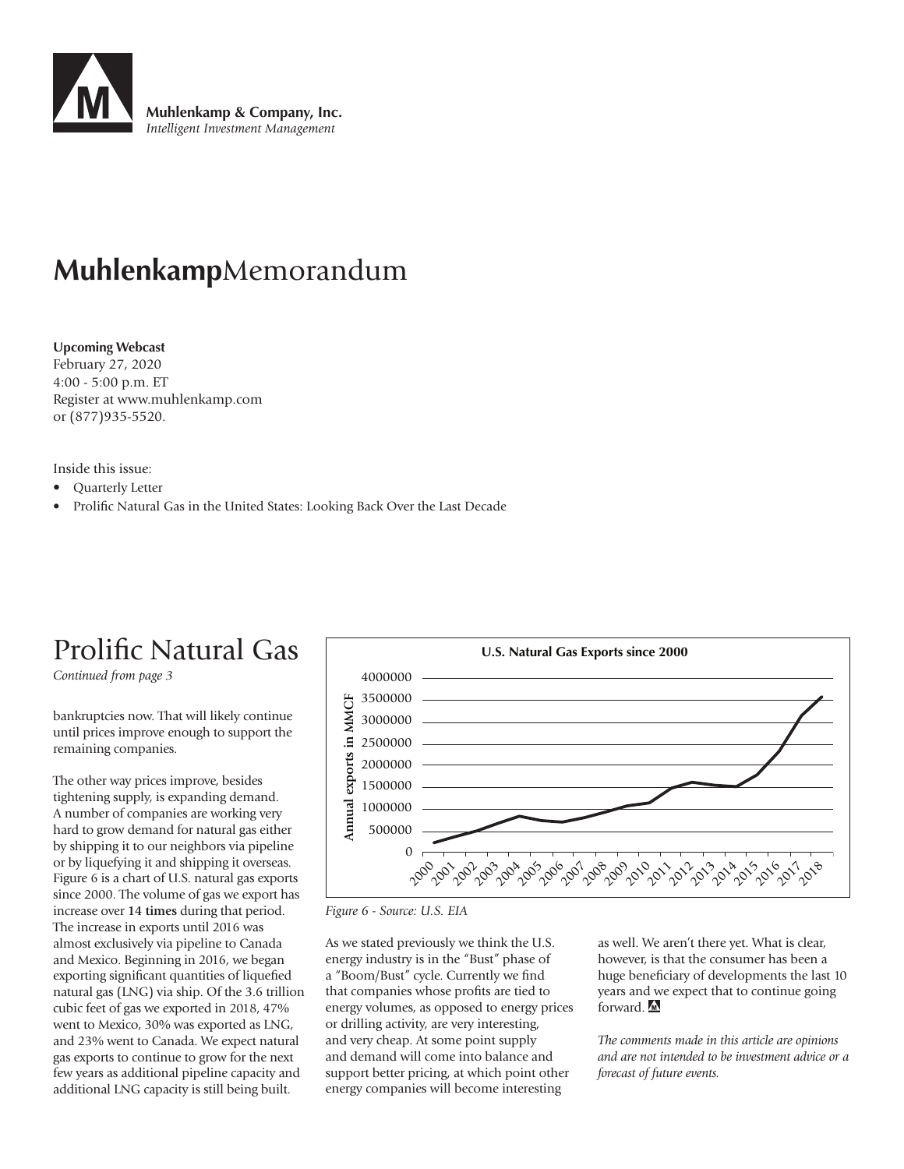

## **Muhlenkamp**Memorandum

#### **Upcoming Webcast**

February 27, 2020 4:00 - 5:00 p.m. ET Register at www.muhlenkamp.com or (877)935-5520.

Inside this issue:

- Quarterly Letter
- Prolific Natural Gas in the United States: Looking Back Over the Last Decade

## Prolific Natural Gas

*Continued from page 3*

bankruptcies now. That will likely continue until prices improve enough to support the remaining companies.

The other way prices improve, besides tightening supply, is expanding demand. A number of companies are working very hard to grow demand for natural gas either by shipping it to our neighbors via pipeline or by liquefying it and shipping it overseas. Figure 6 is a chart of U.S. natural gas exports since 2000. The volume of gas we export has increase over **14 times** during that period. The increase in exports until 2016 was almost exclusively via pipeline to Canada and Mexico. Beginning in 2016, we began exporting significant quantities of liquefied natural gas (LNG) via ship. Of the 3.6 trillion cubic feet of gas we exported in 2018, 47% went to Mexico, 30% was exported as LNG, and 23% went to Canada. We expect natural gas exports to continue to grow for the next few years as additional pipeline capacity and additional LNG capacity is still being built.



*Figure 6 - Source: U.S. EIA*

As we stated previously we think the U.S. energy industry is in the "Bust" phase of a "Boom/Bust" cycle. Currently we find that companies whose profits are tied to energy volumes, as opposed to energy prices or drilling activity, are very interesting, and very cheap. At some point supply and demand will come into balance and support better pricing, at which point other energy companies will become interesting

as well. We aren't there yet. What is clear, however, is that the consumer has been a huge beneficiary of developments the last 10 years and we expect that to continue going forward.

*The comments made in this article are opinions and are not intended to be investment advice or a forecast of future events.*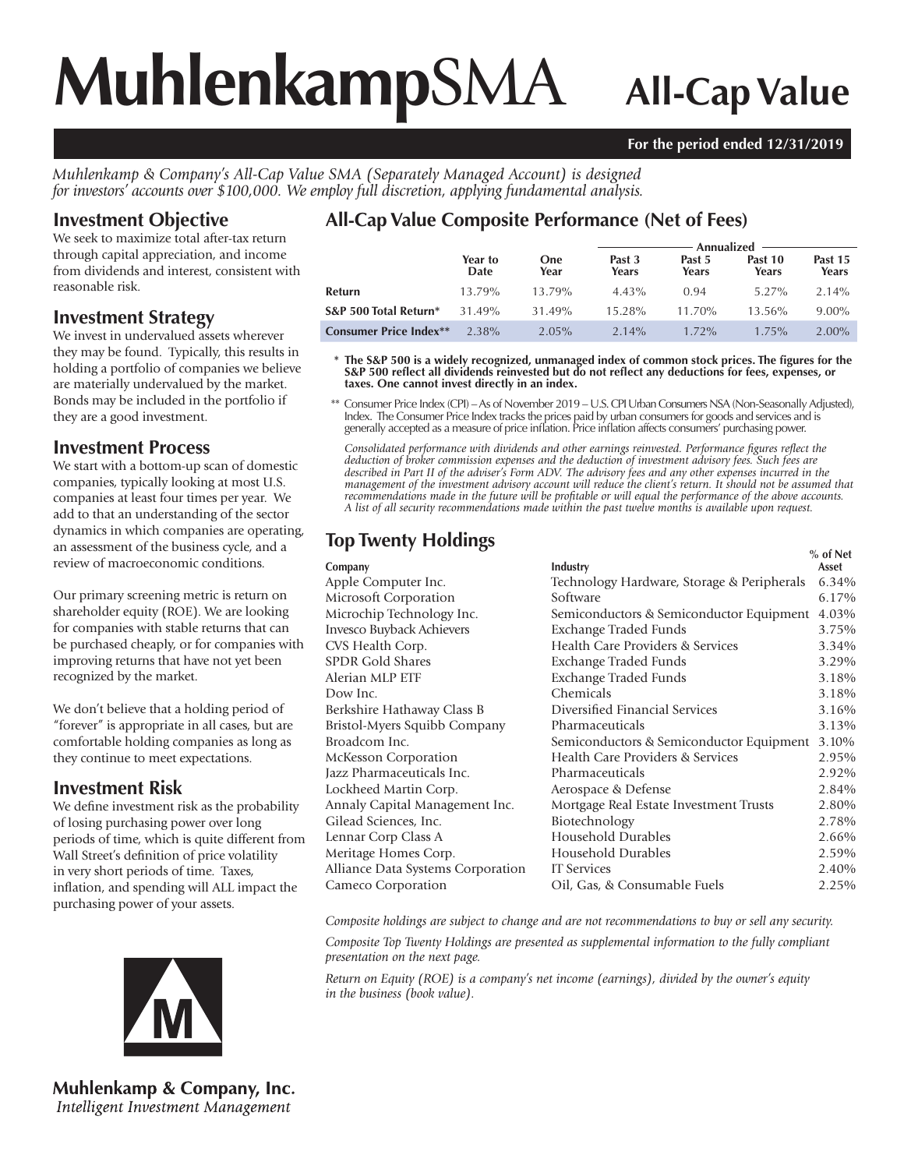# **Muhlenkamp**SMA **All-Cap Value**

#### **For the period ended 12/31/2019**

*Muhlenkamp & Company's All-Cap Value SMA (Separately Managed Account) is designed for investors' accounts over \$100,000. We employ full discretion, applying fundamental analysis.*

#### **Investment Objective**

We seek to maximize total after-tax return through capital appreciation, and income from dividends and interest, consistent with reasonable risk.

#### **Investment Strategy**

We invest in undervalued assets wherever they may be found. Typically, this results in holding a portfolio of companies we believe are materially undervalued by the market. Bonds may be included in the portfolio if they are a good investment.

#### **Investment Process**

We start with a bottom-up scan of domestic companies, typically looking at most U.S. companies at least four times per year. We add to that an understanding of the sector dynamics in which companies are operating, an assessment of the business cycle, and a review of macroeconomic conditions.

Our primary screening metric is return on shareholder equity (ROE). We are looking for companies with stable returns that can be purchased cheaply, or for companies with improving returns that have not yet been recognized by the market.

We don't believe that a holding period of "forever" is appropriate in all cases, but are comfortable holding companies as long as they continue to meet expectations.

#### **Investment Risk**

We define investment risk as the probability of losing purchasing power over long periods of time, which is quite different from Wall Street's definition of price volatility in very short periods of time. Taxes, inflation, and spending will ALL impact the purchasing power of your assets.



**Muhlenkamp & Company, Inc.** Intelligent Investment Management

## **All-Cap Value Composite Performance (Net of Fees)**

|                               |                 |                    | Annualized      |                 |                  |                  |
|-------------------------------|-----------------|--------------------|-----------------|-----------------|------------------|------------------|
|                               | Year to<br>Date | <b>One</b><br>Year | Past 3<br>Years | Past 5<br>Years | Past 10<br>Years | Past 15<br>Years |
| Refurn                        | 13.79%          | 13.79%             | $4.43\%$        | 0.94            | 5.27%            | $2.14\%$         |
| S&P 500 Total Return*         | 31.49%          | 31.49%             | 15.28%          | $11.70\%$       | $13.56\%$        | $9.00\%$         |
| <b>Consumer Price Index**</b> | 2.38%           | $2.05\%$           | $2.14\%$        | $1.72\%$        | $1.75\%$         | $2.00\%$         |

**\* The S&P 500 is a widely recognized, unmanaged index of common stock prices. The figures for the S&P 500 reflect all dividends reinvested but do not reflect any deductions for fees, expenses, or taxes. One cannot invest directly in an index.**

 \*\* Consumer Price Index (CPI) – As of November 2019 – U.S. CPI Urban Consumers NSA (Non-Seasonally Adjusted), Index. The Consumer Price Index tracks the prices paid by urban consumers for goods and services and is generally accepted as a measure of price inflation. Price inflation affects consumers' purchasing power.

*Consolidated performance with dividends and other earnings reinvested. Performance figures reflect the deduction of broker commission expenses and the deduction of investment advisory fees. Such fees are described in Part II of the adviser's Form ADV. The advisory fees and any other expenses incurred in the management of the investment advisory account will reduce the client's return. It should not be assumed that recommendations made in the future will be profitable or will equal the performance of the above accounts. A list of all security recommendations made within the past twelve months is available upon request.*

|                                          | $%$ of Net<br>Asset                                                                                                                                                     |
|------------------------------------------|-------------------------------------------------------------------------------------------------------------------------------------------------------------------------|
|                                          | 6.34%                                                                                                                                                                   |
|                                          | 6.17%                                                                                                                                                                   |
|                                          | 4.03%                                                                                                                                                                   |
|                                          | 3.75%                                                                                                                                                                   |
| Health Care Providers & Services         | 3.34%                                                                                                                                                                   |
|                                          | 3.29%                                                                                                                                                                   |
| Exchange Traded Funds                    | 3.18%                                                                                                                                                                   |
| Chemicals                                | 3.18%                                                                                                                                                                   |
| Diversified Financial Services           | 3.16%                                                                                                                                                                   |
| Pharmaceuticals                          | 3.13%                                                                                                                                                                   |
| Semiconductors & Semiconductor Equipment | 3.10%                                                                                                                                                                   |
| Health Care Providers & Services         | 2.95%                                                                                                                                                                   |
| Pharmaceuticals                          | 2.92%                                                                                                                                                                   |
| Aerospace & Defense                      | 2.84%                                                                                                                                                                   |
| Mortgage Real Estate Investment Trusts   | 2.80%                                                                                                                                                                   |
| Biotechnology                            | 2.78%                                                                                                                                                                   |
| Household Durables                       | 2.66%                                                                                                                                                                   |
| Household Durables                       | 2.59%                                                                                                                                                                   |
| <b>IT</b> Services                       | 2.40%                                                                                                                                                                   |
| Oil, Gas, & Consumable Fuels             | 2.25%                                                                                                                                                                   |
|                                          | Industry<br>Technology Hardware, Storage & Peripherals<br>Software<br>Semiconductors & Semiconductor Equipment<br><b>Exchange Traded Funds</b><br>Exchange Traded Funds |

*Composite holdings are subject to change and are not recommendations to buy or sell any security.*

*Composite Top Twenty Holdings are presented as supplemental information to the fully compliant presentation on the next page.*

*Return on Equity (ROE) is a company's net income (earnings), divided by the owner's equity in the business (book value).*